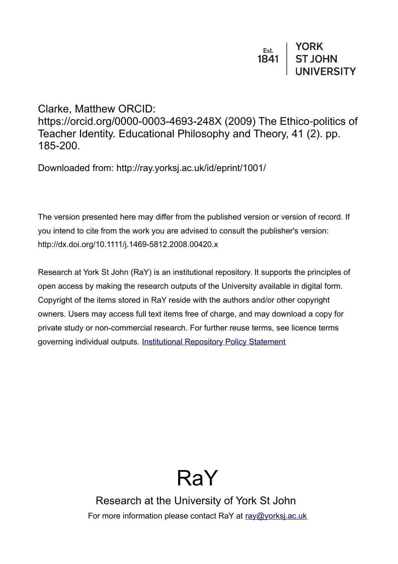Clarke, Matthew ORCID: https://orcid.org/0000-0003-4693-248X (2009) The Ethico-politics of Teacher Identity. Educational Philosophy and Theory, 41 (2). pp. 185-200.

Downloaded from: http://ray.yorksj.ac.uk/id/eprint/1001/

The version presented here may differ from the published version or version of record. If you intend to cite from the work you are advised to consult the publisher's version: http://dx.doi.org/10.1111/j.1469-5812.2008.00420.x

Research at York St John (RaY) is an institutional repository. It supports the principles of open access by making the research outputs of the University available in digital form. Copyright of the items stored in RaY reside with the authors and/or other copyright owners. Users may access full text items free of charge, and may download a copy for private study or non-commercial research. For further reuse terms, see licence terms governing individual outputs. [Institutional Repository Policy Statement](https://www.yorksj.ac.uk/ils/repository-policies/)

# RaY

Research at the University of York St John For more information please contact RaY at [ray@yorksj.ac.uk](mailto:ray@yorksj.ac.uk)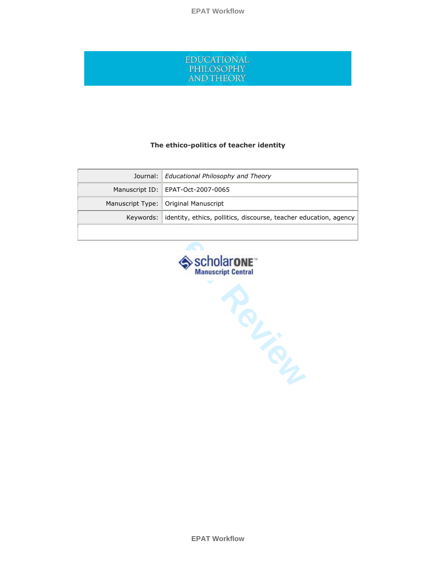## **EDUCATIONAL** PHILOSOPHY **AND THEORY**

## **The ethico-politics of teacher identity**

| Journal:   Educational Philosophy and Theory                                  |
|-------------------------------------------------------------------------------|
| Manuscript ID:   EPAT-Oct-2007-0065                                           |
| Manuscript Type:   Original Manuscript                                        |
| Keywords:   identity, ethics, pollitics, discourse, teacher education, agency |
|                                                                               |

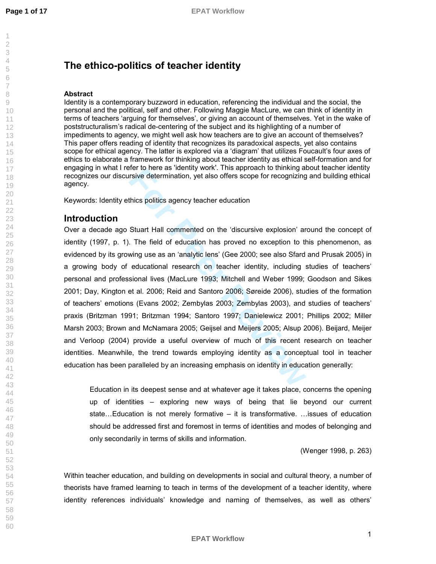## **The ethico-politics of teacher identity**

#### **Abstract**

Identity is a contemporary buzzword in education, referencing the individual and the social, the personal and the political, self and other. Following Maggie MacLure, we can think of identity in terms of teachers 'arguing for themselves', or giving an account of themselves. Yet in the wake of poststructuralism's radical de-centering of the subject and its highlighting of a number of impediments to agency, we might well ask how teachers are to give an account of themselves? This paper offers reading of identity that recognizes its paradoxical aspects, yet also contains scope for ethical agency. The latter is explored via a 'diagram' that utilizes Foucault's four axes of ethics to elaborate a framework for thinking about teacher identity as ethical self-formation and for engaging in what I refer to here as 'identity work'. This approach to thinking about teacher identity recognizes our discursive determination, yet also offers scope for recognizing and building ethical agency.

Keywords: Identity ethics politics agency teacher education

## **Introduction**

For the assumity work. This apploach to thinking and<br>Firstive determination, yet also offers scope for recognizing<br>thics politics agency teacher education<br>3. The field of education has proved no exception to the<br>wing use a Over a decade ago Stuart Hall commented on the 'discursive explosion' around the concept of identity (1997, p. 1). The field of education has proved no exception to this phenomenon, as evidenced by its growing use as an 'analytic lens' (Gee 2000; see also Sfard and Prusak 2005) in a growing body of educational research on teacher identity, including studies of teachers' personal and professional lives (MacLure 1993; Mitchell and Weber 1999; Goodson and Sikes 2001; Day, Kington et al. 2006; Reid and Santoro 2006; Søreide 2006), studies of the formation of teachers' emotions (Evans 2002; Zembylas 2003; Zembylas 2003), and studies of teachers' praxis (Britzman 1991; Britzman 1994; Santoro 1997; Danielewicz 2001; Phillips 2002; Miller Marsh 2003; Brown and McNamara 2005; Geijsel and Meijers 2005; Alsup 2006). Beijard, Meijer and Verloop (2004) provide a useful overview of much of this recent research on teacher identities. Meanwhile, the trend towards employing identity as a conceptual tool in teacher education has been paralleled by an increasing emphasis on identity in education generally:

Education in its deepest sense and at whatever age it takes place, concerns the opening up of identities – exploring new ways of being that lie beyond our current state…Education is not merely formative – it is transformative. …issues of education should be addressed first and foremost in terms of identities and modes of belonging and only secondarily in terms of skills and information.

(Wenger 1998, p. 263)

Within teacher education, and building on developments in social and cultural theory, a number of theorists have framed learning to teach in terms of the development of a teacher identity, where identity references individuals' knowledge and naming of themselves, as well as others'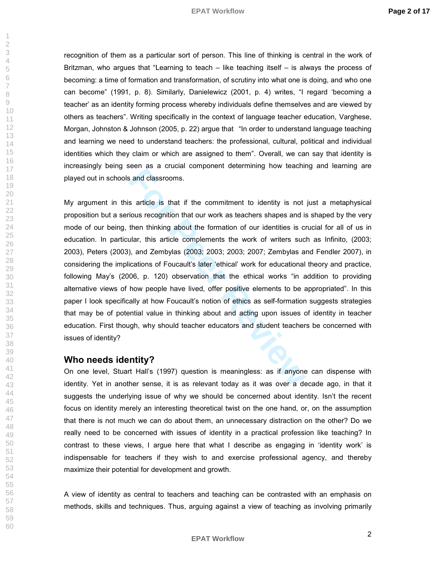recognition of them as a particular sort of person. This line of thinking is central in the work of Britzman, who argues that "Learning to teach – like teaching itself – is always the process of becoming: a time of formation and transformation, of scrutiny into what one is doing, and who one can become" (1991, p. 8). Similarly, Danielewicz (2001, p. 4) writes, "I regard 'becoming a teacher' as an identity forming process whereby individuals define themselves and are viewed by others as teachers". Writing specifically in the context of language teacher education, Varghese, Morgan, Johnston & Johnson (2005, p. 22) argue that "In order to understand language teaching and learning we need to understand teachers: the professional, cultural, political and individual identities which they claim or which are assigned to them". Overall, we can say that identity is increasingly being seen as a crucial component determining how teaching and learning are played out in schools and classrooms.

**Formal diversion** and disappear that if the commitment to identity is not is and classrooms.<br> **For Peer Ally is and the commitment** to identity is not ious recognition that our work as teachers shapes and is then thinking My argument in this article is that if the commitment to identity is not just a metaphysical proposition but a serious recognition that our work as teachers shapes and is shaped by the very mode of our being, then thinking about the formation of our identities is crucial for all of us in education. In particular, this article complements the work of writers such as Infinito, (2003; 2003), Peters (2003), and Zembylas (2003; 2003; 2003; 2007; Zembylas and Fendler 2007), in considering the implications of Foucault's later 'ethical' work for educational theory and practice, following May's (2006, p. 120) observation that the ethical works "in addition to providing alternative views of how people have lived, offer positive elements to be appropriated". In this paper I look specifically at how Foucault's notion of ethics as self-formation suggests strategies that may be of potential value in thinking about and acting upon issues of identity in teacher education. First though, why should teacher educators and student teachers be concerned with issues of identity?

## **Who needs identity?**

On one level, Stuart Hall's (1997) question is meaningless: as if anyone can dispense with identity. Yet in another sense, it is as relevant today as it was over a decade ago, in that it suggests the underlying issue of why we should be concerned about identity. Isn't the recent focus on identity merely an interesting theoretical twist on the one hand, or, on the assumption that there is not much we can do about them, an unnecessary distraction on the other? Do we really need to be concerned with issues of identity in a practical profession like teaching? In contrast to these views, I argue here that what I describe as engaging in 'identity work' is indispensable for teachers if they wish to and exercise professional agency, and thereby maximize their potential for development and growth.<br>A view of identity as central to teachers and teaching can be contrasted with an emphasis on

methods, skills and techniques. Thus, arguing against a view of teaching as involving primarily

#### **EPAT Workflow**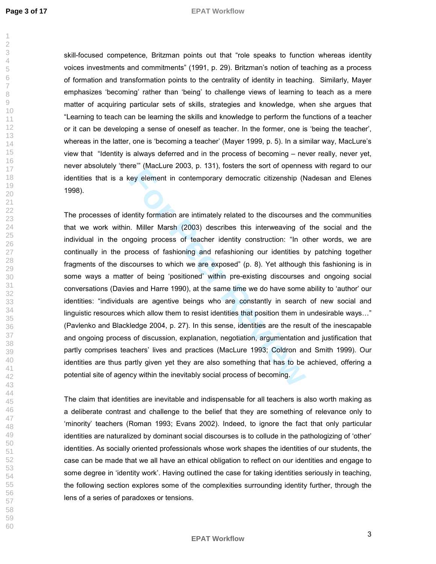skill-focused competence, Britzman points out that "role speaks to function whereas identity voices investments and commitments" (1991, p. 29). Britzman's notion of teaching as a process of formation and transformation points to the centrality of identity in teaching. Similarly, Mayer emphasizes 'becoming' rather than 'being' to challenge views of learning to teach as a mere matter of acquiring particular sets of skills, strategies and knowledge, when she argues that "Learning to teach can be learning the skills and knowledge to perform the functions of a teacher or it can be developing a sense of oneself as teacher. In the former, one is 'being the teacher', whereas in the latter, one is 'becoming a teacher' (Mayer 1999, p. 5). In a similar way, MacLure's view that "Identity is always deferred and in the process of becoming – never really, never yet, never absolutely 'there'" (MacLure 2003, p. 131), fosters the sort of openness with regard to our identities that is a key element in contemporary democratic citizenship (Nadesan and Elenes 1998).

For this content in contemporary democratic citizenship (N<br>**For Peer Alter** Schouts are intendent in contemporary democratic citizenship (N<br>**For Peer Peer Reviews** and Miller Marsh (2003) describes this interweaving of<br>goi The processes of identity formation are intimately related to the discourses and the communities that we work within. Miller Marsh (2003) describes this interweaving of the social and the individual in the ongoing process of teacher identity construction: "In other words, we are continually in the process of fashioning and refashioning our identities by patching together fragments of the discourses to which we are exposed" (p. 8). Yet although this fashioning is in some ways a matter of being 'positioned' within pre-existing discourses and ongoing social conversations (Davies and Harre 1990), at the same time we do have some ability to 'author' our identities: "individuals are agentive beings who are constantly in search of new social and linguistic resources which allow them to resist identities that position them in undesirable ways…" (Pavlenko and Blackledge 2004, p. 27). In this sense, identities are the result of the inescapable and ongoing process of discussion, explanation, negotiation, argumentation and justification that partly comprises teachers' lives and practices (MacLure 1993; Coldron and Smith 1999). Our identities are thus partly given yet they are also something that has to be achieved, offering a potential site of agency within the inevitably social process of becoming.

The claim that identities are inevitable and indispensable for all teachers is also worth making as<br>a deliberate contrast and challenge to the belief that they are something of relevance only to 'minority' teachers (Roman 1993; Evans 2002). Indeed, to ignore the fact that only particular identities are naturalized by dominant social discourses is to collude in the pathologizing of 'other' identities. As socially oriented professionals whose work shapes the identities of our students, the case can be made that we all have an ethical obligation to reflect on our identities and engage to some degree in 'identity work'. Having outlined the case for taking identities seriously in teaching, the following section explores some of the complexities surrounding identity further, through the lens of a series of paradoxes or tensions.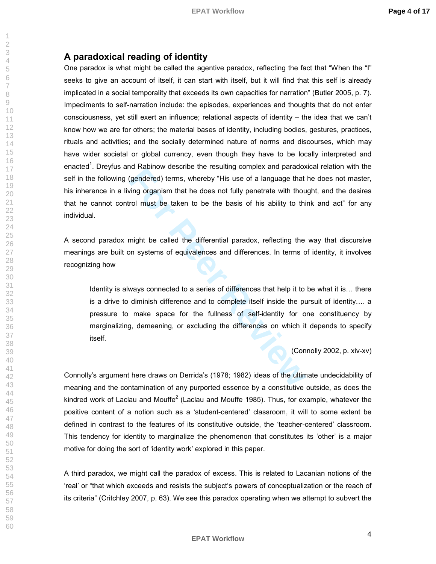## **A paradoxical reading of identity**

One paradox is what might be called the agentive paradox, reflecting the fact that "When the "I" seeks to give an account of itself, it can start with itself, but it will find that this self is already implicated in a social temporality that exceeds its own capacities for narration" (Butler 2005, p. 7). Impediments to self-narration include: the episodes, experiences and thoughts that do not enter consciousness, yet still exert an influence; relational aspects of identity – the idea that we can't know how we are for others; the material bases of identity, including bodies, gestures, practices, rituals and activities; and the socially determined nature of norms and discourses, which may have wider societal or global currency, even though they have to be locally interpreted and enacted<sup>[1](#page-15-0)</sup>. Dreyfus and Rabinow describe the resulting complex and paradoxical relation with the self in the following (gendered) terms, whereby "His use of a language that he does not master, his inherence in a living organism that he does not fully penetrate with thought, and the desires that he cannot control must be taken to be the basis of his ability to think and act" for any individual.<br>A second paradox might be called the differential paradox, reflecting the way that discursive

meanings are built on systems of equivalences and differences. In terms of identity, it involves recognizing how

For Resincent accounted the locating complex and paradox<br>(gendered) terms, whereby "His use of a language that<br>ing organism that he does not fully penetrate with thou<br>rol must be taken to be the basis of his ability to thi Identity is always connected to a series of differences that help it to be what it is… there is a drive to diminish difference and to complete itself inside the pursuit of identity…. a pressure to make space for the fullness of self-identity for one constituency by marginalizing, demeaning, or excluding the differences on which it depends to specify itself.

(Connolly 2002, p. xiv-xv)

Connolly's argument here draws on Derrida's (1978; 1982) ideas of the ultimate undecidability of meaning and the contamination of any purported essence by a constitutive outside, as does the kindred work of Laclau and Mouffe<sup>[2](#page-15-0)</sup> (Laclau and Mouffe 1985). Thus, for example, whatever the positive content of a notion such as a 'student-centered' classroom, it will to some extent be defined in contrast to the features of its constitutive outside, the 'teacher-centered' classroom. This tendency for identity to marginalize the phenomenon that constitutes its 'other' is a major motive for doing the sort of 'identity work' explored in this paper.<br>A third paradox, we might call the paradox of excess. This is related to Lacanian notions of the

'real' or "that which exceeds and resists the subject's powers of conceptualization or the reach of its criteria" (Critchley 2007, p. 63). We see this paradox operating when we attempt to subvert the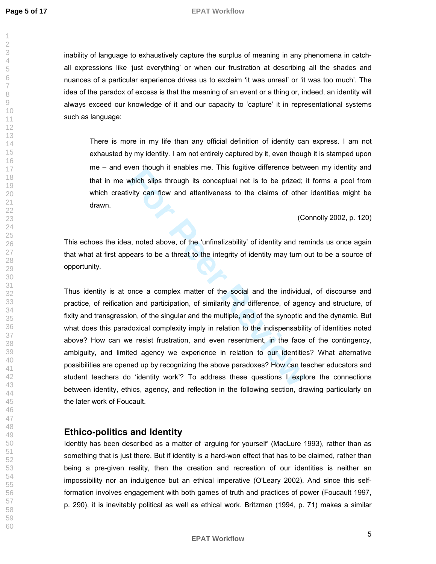#### **EPAT Workflow**

inability of language to exhaustively capture the surplus of meaning in any phenomena in catchall expressions like 'just everything' or when our frustration at describing all the shades and nuances of a particular experience drives us to exclaim 'it was unreal' or 'it was too much'. The idea of the paradox of excess is that the meaning of an event or a thing or, indeed, an identity will always exceed our knowledge of it and our capacity to 'capture' it in representational systems such as language:

There is more in my life than any official definition of identity can express. I am not exhausted by my identity. I am not entirely captured by it, even though it is stamped upon me - and even though it enables me. This fugitive difference between my identity and that in me which slips through its conceptual net is to be prized; it forms a pool from which creativity can flow and attentiveness to the claims of other identities might be drawn.

#### (Connolly 2002, p. 120)

This echoes the idea, noted above, of the 'unfinalizability' of identity and reminds us once again that what at first appears to be a threat to the integrity of identity may turn out to be a source of opportunity.

For allocating the states inc. This interactive the between the state of the the state of the claims of other<br> **For Allocation** and attentiveness to the claims of other<br> **For Allocation** and attentiveness to the claims of Thus identity is at once a complex matter of the social and the individual, of discourse and practice, of reification and participation, of similarity and difference, of agency and structure, of fixity and transgression, of the singular and the multiple, and of the synoptic and the dynamic. But what does this paradoxical complexity imply in relation to the indispensability of identities noted above? How can we resist frustration, and even resentment, in the face of the contingency, ambiguity, and limited agency we experience in relation to our identities? What alternative possibilities are opened up by recognizing the above paradoxes? How can teacher educators and student teachers do 'identity work'? To address these questions I explore the connections between identity, ethics, agency, and reflection in the following section, drawing particularly on the later work of Foucault.

## **Ethico-politics and Identity**

Identity has been described as a matter of 'arguing for yourself' (MacLure 1993), rather than as something that is just there. But if identity is a hard-won effect that has to be claimed, rather than being a pre-given reality, then the creation and recreation of our identities is neither an impossibility nor an indulgence but an ethical imperative (O'Leary 2002). And since this selfformation involves engagement with both games of truth and practices of power (Foucault 1997, p. 290), it is inevitably political as well as ethical work. Britzman (1994, p. 71) makes a similar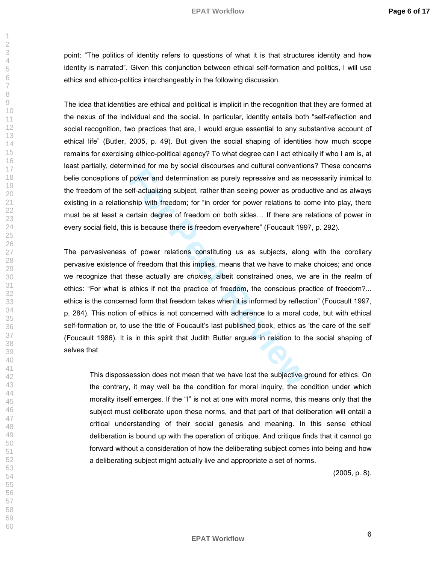point: "The politics of identity refers to questions of what it is that structures identity and how identity is narrated". Given this conjunction between ethical self-formation and politics, I will use ethics and ethico-politics interchangeably in the following discussion.

The idea that identities are ethical and political is implicit in the recognition that they are formed at the nexus of the individual and the social. In particular, identity entails both "self-reflection and social recognition, two practices that are, I would argue essential to any substantive account of ethical life" (Butler, 2005, p. 49). But given the social shaping of identities how much scope remains for exercising ethico-political agency? To what degree can I act ethically if who I am is, at least partially, determined for me by social discourses and cultural conventions? These concerns belie conceptions of power and determination as purely repressive and as necessarily inimical to the freedom of the self-actualizing subject, rather than seeing power as productive and as always existing in a relationship with freedom; for "in order for power relations to come into play, there must be at least a certain degree of freedom on both sides… If there are relations of power in every social field, this is because there is freedom everywhere" (Foucault 1997, p. 292).

milion of the by boold discussed and did and discussed and a networking<br>
power and determination as purely repressive and as not<br>
ship with freedom; for "in order for power relations to c<br>
sertain degree of freedom on both The pervasiveness of power relations constituting us as subjects, along with the corollary pervasive existence of freedom that this implies, means that we have to make choices; and once we recognize that these actually are *choices* , albeit constrained ones, we are in the realm of ethics: "For what is ethics if not the practice of freedom, the conscious practice of freedom?... ethics is the concerned form that freedom takes when it is informed by reflection" (Foucault 1997, p. 284). This notion of ethics is not concerned with adherence to a moral code, but with ethical self-formation or, to use the title of Foucault's last published book, ethics as 'the care of the self' (Foucault 1986). It is in this spirit that Judith Butler argues in relation to the social shaping of selves that

This dispossession does not mean that we have lost the subjective ground for ethics. On the contrary, it may well be the condition for moral inquiry, the condition under which morality itself emerges. If the "I" is not at one with moral norms, this means only that the subject must deliberate upon these norms, and that part of that deliberation will entail a critical understanding of their social genesis and meaning. In this sense ethical deliberation is bound up with the operation of critique. And critique finds that it cannot go forward without a consideration of how the deliberating subject comes into being and how<br>a deliberating subject might actually live and appropriate a set of norms.

(2005, p. 8).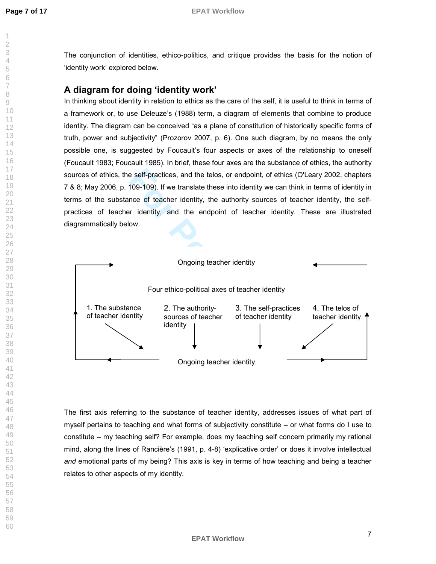The conjunction of identities, ethico-poliltics, and critique provides the basis for the notion of 'identity work' explored below.

## **A diagram for doing 'identity work'**

In thinking about identity in relation to ethics as the care of the self, it is useful to think in terms of a framework or, to use Deleuze's (1988) term, a diagram of elements that combine to produce identity. The diagram can be conceived "as a plane of constitution of historically specific forms of truth, power and subjectivity" (Prozorov 2007, p. 6). One such diagram, by no means the only possible one, is suggested by Foucault's four aspects or axes of the relationship to oneself (Foucault 1983; Foucault 1985). In brief, these four axes are the substance of ethics, the authority sources of ethics, the self-practices, and the telos, or endpoint, of ethics (O'Leary 2002, chapters<br>7 & 8; May 2006, p. 109-109). If we translate these into identity we can think in terms of identity in terms of the substance of teacher identity, the authority sources of teacher identity, the selfpractices of teacher identity, and the endpoint of teacher identity. These are illustrated diagrammatically below.



The first axis referring to the substance of teacher identity, addresses issues of what part of myself pertains to teaching and what forms of subjectivity constitute – or what forms do I use to constitute – my teaching self? For example, does my teaching self concern primarily my rational mind, along the lines of Rancière's (1991, p. 4-8) 'explicative order' or does it involve intellectual *and* emotional parts of my being? This axis is key in terms of how teaching and being a teacher relates to other aspects of my identity.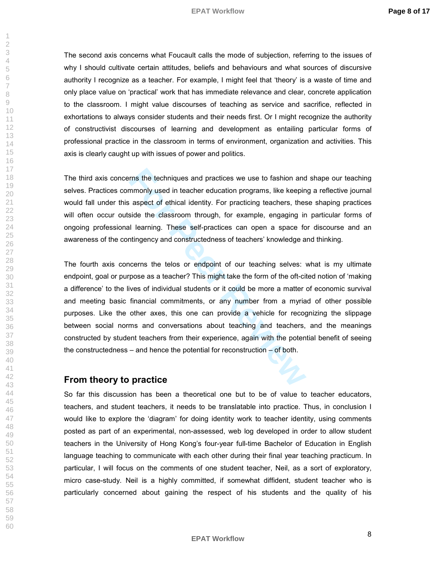The second axis concerns what Foucault calls the mode of subjection, referring to the issues of why I should cultivate certain attitudes, beliefs and behaviours and what sources of discursive authority I recognize as a teacher. For example, I might feel that 'theory' is a waste of time and only place value on 'practical' work that has immediate relevance and clear, concrete application to the classroom. I might value discourses of teaching as service and sacrifice, reflected in exhortations to always consider students and their needs first. Or I might recognize the authority of constructivist discourses of learning and development as entailing particular forms of professional practice in the classroom in terms of environment, organization and activities. This axis is clearly caught up with issues of power and politics.

The third axis concerns the techniques and practices we use to fashion and shape our teaching selves. Practices commonly used in teacher education programs, like keeping a reflective journal would fall under this aspect of ethical identity. For practicing teachers, these shaping practices will often occur outside the classroom through, for example, engaging in particular forms of ongoing professional learning. These self-practices can open a space for discourse and an awareness of the contingency and constructedness of teachers' knowledge and thinking.

rns the techniques and practices we use to fashion and<br>mmonly used in teacher education programs, like keepin<br>aspect of ethical identity. For practicing teachers, thes<br>side the classroom through, for example, engaging in<br>a The fourth axis concerns the telos or endpoint of our teaching selves: what is my ultimate endpoint, goal or purpose as a teacher? This might take the form of the oft-cited notion of 'making<br>a difference' to the lives of individual students or it could be more a matter of economic survival and meeting basic financial commitments, or any number from a myriad of other possible purposes. Like the other axes, this one can provide a vehicle for recognizing the slippage between social norms and conversations about teaching and teachers, and the meanings constructed by student teachers from their experience, again with the potential benefit of seeing the constructedness – and hence the potential for reconstruction – of both.

## **From theory to practice**

So far this discussion has been a theoretical one but to be of value to teacher educators, teachers, and student teachers, it needs to be translatable into practice. Thus, in conclusion I would like to explore the 'diagram' for doing identity work to teacher identity, using comments posted as part of an experimental, non-assessed, web log developed in order to allow student teachers in the University of Hong Kong's four-year full-time Bachelor of Education in English language teaching to communicate with each other during their final year teaching practicum. In particular, I will focus on the comments of one student teacher, Neil, as a sort of exploratory, micro case-study. Neil is a highly committed, if somewhat diffident, student teacher who is particularly concerned about gaining the respect of his students and the quality of his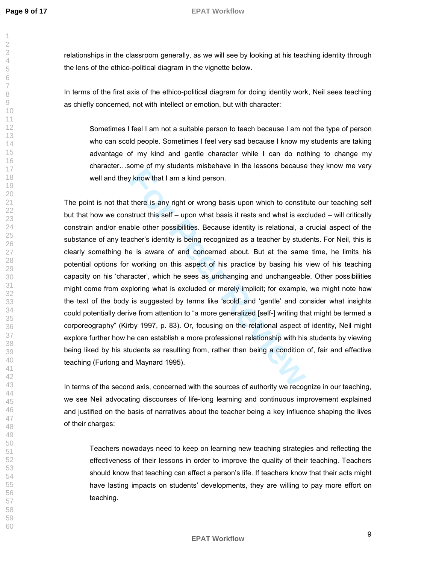relationships in the classroom generally, as we will see by looking at his teaching identity through the lens of the ethico-political diagram in the vignette below.

In terms of the first axis of the ethico-political diagram for doing identity work, Neil sees teaching as chiefly concerned, not with intellect or emotion, but with character:

Sometimes I feel I am not a suitable person to teach because I am not the type of person who can scold people. Sometimes I feel very sad because I know my students are taking advantage of my kind and gentle character while I can do nothing to change my character…some of my students misbehave in the lessons because they know me very well and they know that I am a kind person.

For Pering and person.<br> **For Pering and And Strate Strate Strate Strate Strate Strate Street is any right or wrong basis upon which to constit<br>
<b>For Formal Strate Strate Street Street Street Street Street Street Street Str** The point is not that there is any right or wrong basis upon which to constitute our teaching self but that how we construct this self – upon what basis it rests and what is excluded – will critically constrain and/or enable other possibilities. Because identity is relational, a crucial aspect of the substance of any teacher's identity is being recognized as a teacher by students. For Neil, this is clearly something he is aware of and concerned about. But at the same time, he limits his potential options for working on this aspect of his practice by basing his view of his teaching capacity on his 'character', which he sees as unchanging and unchangeable. Other possibilities might come from exploring what is excluded or merely implicit; for example, we might note how the text of the body is suggested by terms like 'scold' and 'gentle' and consider what insights could potentially derive from attention to "a more generalized [self-] writing that might be termed a corporeography" (Kirby 1997, p. 83). Or, focusing on the relational aspect of identity, Neil might explore further how he can establish a more professional relationship with his students by viewing being liked by his students as resulting from, rather than being a condition of, fair and effective teaching (Furlong and Maynard 1995).

In terms of the second axis, concerned with the sources of authority we recognize in our teaching, we see Neil advocating discourses of life-long learning and continuous improvement explained and justified on the basis of narratives about the teacher being a key influence shaping the lives of their charges:

Teachers nowadays need to keep on learning new teaching strategies and reflecting the effectiveness of their lessons in order to improve the quality of their teaching. Teachers should know that teaching can affect a person's life. If teachers know that their acts might have lasting impacts on students' developments, they are willing to pay more effort on teaching.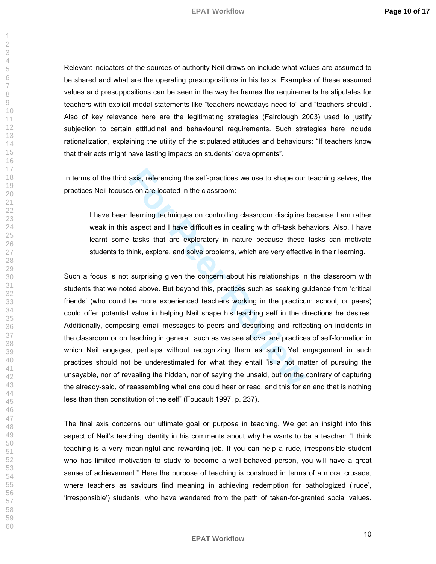Relevant indicators of the sources of authority Neil draws on include what values are assumed to be shared and what are the operating presuppositions in his texts. Examples of these assumed values and presuppositions can be seen in the way he frames the requirements he stipulates for teachers with explicit modal statements like "teachers nowadays need to" and "teachers should". Also of key relevance here are the legitimating strategies (Fairclough 2003) used to justify subjection to certain attitudinal and behavioural requirements. Such strategies here include rationalization, explaining the utility of the stipulated attitudes and behaviours: "If teachers know that their acts might have lasting impacts on students' developments".

In terms of the third axis, referencing the self-practices we use to shape our teaching selves, the practices Neil focuses on are located in the classroom:<br>
I have been learning techniques on controlling classroom discipline because I am rather

weak in this aspect and I have difficulties in dealing with off-task behaviors. Also, I have learnt some tasks that are exploratory in nature because these tasks can motivate students to think, explore, and solve problems, which are very effective in their learning.

axis, referencing the self-practices we use to shape our<br>
son are located in the classroom:<br>
learning techniques on controlling classroom discipline<br>
aspect and I have difficulties in dealing with off-task be<br>
tasks that a Such a focus is not surprising given the concern about his relationships in the classroom with students that we noted above. But beyond this, practices such as seeking guidance from 'critical friends' (who could be more experienced teachers working in the practicum school, or peers) could offer potential value in helping Neil shape his teaching self in the directions he desires. Additionally, composing email messages to peers and describing and reflecting on incidents in the classroom or on teaching in general, such as we see above, are practices of self-formation in which Neil engages, perhaps without recognizing them as such. Yet engagement in such practices should not be underestimated for what they entail "is a not matter of pursuing the unsayable, nor of revealing the hidden, nor of saying the unsaid, but on the contrary of capturing the already-said, of reassembling what one could hear or read, and this for an end that is nothing less than then constitution of the self" (Foucault 1997, p. 237).

The final axis concerns our ultimate goal or purpose in teaching. We get an insight into this aspect of Neil's teaching identity in his comments about why he wants to be a teacher: "I think teaching is a very meaningful and rewarding job. If you can help a rude, irresponsible student who has limited motivation to study to become a well-behaved person, you will have a great sense of achievement." Here the purpose of teaching is construed in terms of a moral crusade, where teachers as saviours find meaning in achieving redemption for pathologized ('rude', 'irresponsible') students, who have wandered from the path of taken-for-granted social values.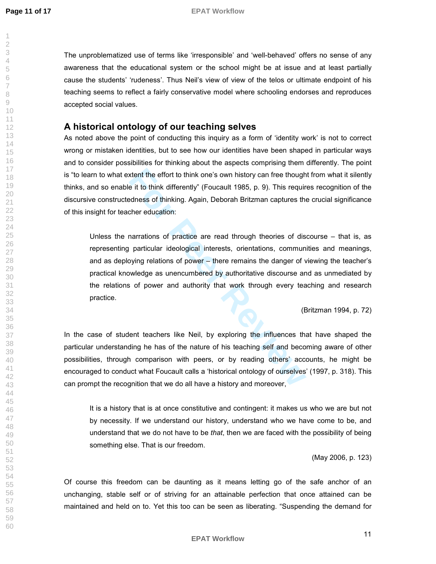The unproblematized use of terms like 'irresponsible' and 'well-behaved' offers no sense of any awareness that the educational system or the school might be at issue and at least partially cause the students' 'rudeness'. Thus Neil's view of view of the telos or ultimate endpoint of his teaching seems to reflect a fairly conservative model where schooling endorses and reproduces accepted social values.

## **A historical ontology of our teaching selves**

As noted above the point of conducting this inquiry as a form of 'identity work' is not to correct wrong or mistaken identities, but to see how our identities have been shaped in particular ways and to consider possibilities for thinking about the aspects comprising them differently. The point is "to learn to what extent the effort to think one's own history can free thought from what it silently thinks, and so enable it to think differently" (Foucault 1985, p. 9). This requires recognition of the discursive constructedness of thinking. Again, Deborah Britzman captures the crucial significance of this insight for teacher education:

Extent the effort to think one's own history can free though<br>
For it to think differently" (Foucault 1985, p. 9). This requiredness of thinking. Again, Deborah Britzman captures the<br>
Fore education:<br>
For Peducation:<br>
For P Unless the narrations of practice are read through theories of discourse – that is, as representing particular ideological interests, orientations, communities and meanings, and as deploying relations of power – there remains the danger of viewing the teacher's practical knowledge as unencumbered by authoritative discourse and as unmediated by the relations of power and authority that work through every teaching and research practice.

(Britzman 1994, p. 72)

In the case of student teachers like Neil, by exploring the influences that have shaped the particular understanding he has of the nature of his teaching self and becoming aware of other possibilities, through comparison with peers, or by reading others' accounts, he might be encouraged to conduct what Foucault calls a 'historical ontology of ourselves' (1997, p. 318). This can prompt the recognition that we do all have a history and moreover,

It is a history that is at once constitutive and contingent: it makes us who we are but not by necessity. If we understand our history, understand who we have come to be, and understand that we do not have to be *that* , then we are faced with the possibility of being something else. That is our freedom.

(May 2006, p. 123)

Of course this freedom can be daunting as it means letting go of the safe anchor of an unchanging, stable self or of striving for an attainable perfection that once attained can be maintained and held on to. Yet this too can be seen as liberating. "Suspending the demand for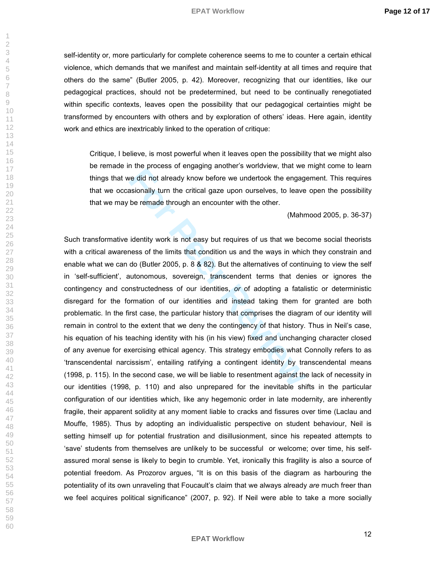self-identity or, more particularly for complete coherence seems to me to counter a certain ethical violence, which demands that we manifest and maintain self-identity at all times and require that others do the same" (Butler 2005, p. 42). Moreover, recognizing that our identities, like our pedagogical practices, should not be predetermined, but need to be continually renegotiated within specific contexts, leaves open the possibility that our pedagogical certainties might be transformed by encounters with others and by exploration of others' ideas. Here again, identity work and ethics are inextricably linked to the operation of critique:

Critique, I believe, is most powerful when it leaves open the possibility that we might also be remade in the process of engaging another's worldview, that we might come to learn things that we did not already know before we undertook the engagement. This requires that we occasionally turn the critical gaze upon ourselves, to leave open the possibility that we may be remade through an encounter with the other.

(Mahmood 2005, p. 36-37)

For the process of origing ansation of notation, that the edid not already know before we undertook the engage<br>
be remade through an encounter with the other. (Mahn<br>
identity work is not easy but requires of us that we bec Such transformative identity work is not easy but requires of us that we become social theorists with a critical awareness of the limits that condition us and the ways in which they constrain and enable what we can do (Butler 2005, p.  $8 \& 82$ ). But the alternatives of continuing to view the self in 'self-sufficient', autonomous, sovereign, transcendent terms that denies or ignores the contingency and constructedness of our identities, *or* of adopting a fatalistic or deterministic disregard for the formation of our identities and instead taking them for granted are both problematic. In the first case, the particular history that comprises the diagram of our identity will remain in control to the extent that we deny the contingency of that history. Thus in Neil's case, his equation of his teaching identity with his (in his view) fixed and unchanging character closed of any avenue for exercising ethical agency. This strategy embodies what Connolly refers to as 'transcendental narcissism', entailing ratifying a contingent identity by transcendental means (1998, p. 115). In the second case, we will be liable to resentment against the lack of necessity in our identities (1998, p. 110) and also unprepared for the inevitable shifts in the particular configuration of our identities which, like any hegemonic order in late modernity, are inherently fragile, their apparent solidity at any moment liable to cracks and fissures over time (Laclau and Mouffe, 1985). Thus by adopting an individualistic perspective on student behaviour, Neil is setting himself up for potential frustration and disillusionment, since his repeated attempts to 'save' students from themselves are unlikely to be successful or welcome; over time, his selfassured moral sense is likely to begin to crumble. Yet, ironically this fragility is also a source of potential freedom. As Prozorov argues, "It is on this basis of the diagram as harbouring the potentiality of its own unraveling that Foucault's claim that we always already *are* much freer than we feel acquires political significance" (2007, p. 92). If Neil were able to take a more socially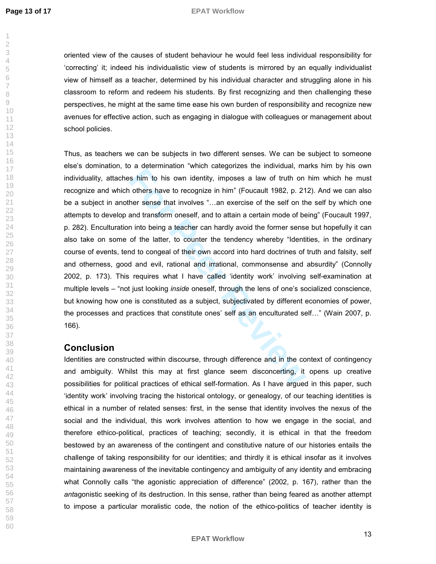10 11 12

oriented view of the causes of student behaviour he would feel less individual responsibility for 'correcting' it; indeed his individualistic view of students is mirrored by an equally individualist view of himself as a teacher, determined by his individual character and struggling alone in his classroom to reform and redeem his students. By first recognizing and then challenging these perspectives, he might at the same time ease his own burden of responsibility and recognize new avenues for effective action, such as engaging in dialogue with colleagues or management about school policies.

**For Person in the Unity**, imposes a law of truth on others have to recognize in him" (Foucault 1982, p. 21<br>her sense that involves "...an exercise of the self on the and transform oneself, and to attain a certain mode of Thus, as teachers we can be subjects in two different senses. We can be subject to someone else's domination, to a determination "which categorizes the individual, marks him by his own individuality, attaches him to his own identity, imposes a law of truth on him which he must recognize and which others have to recognize in him" (Foucault 1982, p. 212). And we can also be a subject in another sense that involves "…an exercise of the self on the self by which one attempts to develop and transform oneself, and to attain a certain mode of being" (Foucault 1997, p. 282). Enculturation into being a teacher can hardly avoid the former sense but hopefully it can also take on some of the latter, to counter the tendency whereby "Identities, in the ordinary course of events, tend to congeal of their own accord into hard doctrines of truth and falsity, self and otherness, good and evil, rational and irrational, commonsense and absurdity" (Connolly 2002, p. 173). This requires what I have called 'identity work' involving self-examination at multiple levels – "not just looking *inside* oneself, through the lens of one's socialized conscience, but knowing how one is constituted as a subject, subjectivated by different economies of power, the processes and practices that constitute ones' self as an enculturated self…" (Wain 2007, p. 166).

## **Conclusion**

Identities are constructed within discourse, through difference and in the context of contingency and ambiguity. Whilst this may at first glance seem disconcerting, it opens up creative possibilities for political practices of ethical self-formation. As I have argued in this paper, such 'identity work' involving tracing the historical ontology, or genealogy, of our teaching identities is ethical in a number of related senses: first, in the sense that identity involves the nexus of the social and the individual, this work involves attention to how we engage in the social, and therefore ethico-political, practices of teaching; secondly, it is ethical in that the freedom bestowed by an awareness of the contingent and constitutive nature of our histories entails the challenge of taking responsibility for our identities; and thirdly it is ethical insofar as it involves maintaining awareness of the inevitable contingency and ambiguity of any identity and embracing what Connolly calls "the agonistic appreciation of difference" (2002, p. 167), rather than the *ant*agonistic seeking of its destruction. In this sense, rather than being feared as another attempt to impose a particular moralistic code, the notion of the ethico-politics of teacher identity is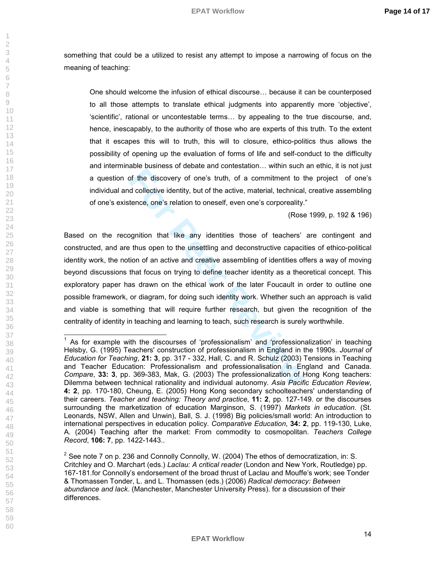<span id="page-15-0"></span>something that could be a utilized to resist any attempt to impose a narrowing of focus on the meaning of teaching:

One should welcome the infusion of ethical discourse… because it can be counterposed to all those attempts to translate ethical judgments into apparently more 'objective', 'scientific', rational or uncontestable terms… by appealing to the true discourse, and, hence, inescapably, to the authority of those who are experts of this truth. To the extent that it escapes this will to truth, this will to closure, ethico-politics thus allows the possibility of opening up the evaluation of forms of life and self-conduct to the difficulty and interminable business of debate and contestation... within such an ethic, it is not just a question of the discovery of one's truth, of a commitment to the project of one's individual and collective identity, but of the active, material, technical, creative assembling of one's existence, one's relation to oneself, even one's corporeality."

(Rose 1999, p. 192 & 196)

of the discovery of one's truth, of a commitment to the discovery of one's truth, of a commitment to the discovery of one's truth, of a commitment to the disclusion.<br>
Hence, one's relation to oneself, even one's corporeali Based on the recognition that like any identities those of teachers' are contingent and constructed, and are thus open to the unsettling and deconstructive capacities of ethico-political identity work, the notion of an active and creative assembling of identities offers a way of moving beyond discussions that focus on trying to define teacher identity as a theoretical concept. This exploratory paper has drawn on the ethical work of the later Foucault in order to outline one possible framework, or diagram, for doing such identity work. Whether such an approach is valid and viable is something that will require further research, but given the recognition of the

centrality of identity in teaching and learning to teach, such research is surely worthwhile.<br>
1 As for example with the discourses of 'professionalism' and 'professionalization' in teaching Helsby, G. (1995) Teachers' construction of professionalism in England in the 1990s. *Journal of*  Education for Teaching, 21: 3, pp. 317 - 332, Hall, C. and R. Schulz (2003) Tensions in Teaching and Teacher Education: Professionalism and professionalisation in England and Canada. *Compare* , **33: 3** , pp. 369-383, Mak, G. (2003) The professionalization of Hong Kong teachers: Dilemma between technical rationality and individual autonomy. *Asia Pacific Education Review* , **4: 2** , pp. 170-180, Cheung, E. (2005) Hong Kong secondary schoolteachers' understanding of their careers. *Teacher and teaching: Theory and practice* , **11: 2** , pp. 127-149. or the discourses surrounding the marketization of education Marginson, S. (1997) *Markets in education* . (St. Leonards, NSW, Allen and Unwin), Ball, S. J. (1998) Big policies/small world: An introduction to international perspectives in education policy. *Comparative Education* , **34: 2** , pp. 119-130, Luke, A. (2004) Teaching after the market: From commodity to cosmopolitan. *Teachers College Record* , **106: 7** , pp. 1422-1443..

 $2$  See note 7 on p. 236 and Connolly Connolly, W. (2004) The ethos of democratization, in: S. Critchley and O. Marchart (eds.) *Laclau: A critical reader* (London and New York, Routledge) pp. 167-181.for Connolly's endorsement of the broad thrust of Laclau and Mouffe's work; see Tonder & Thomassen Tonder, L. and L. Thomassen (eds.) (2006) *Radical democracy: Between abundance and lack* . (Manchester, Manchester University Press). for a discussion of their differences.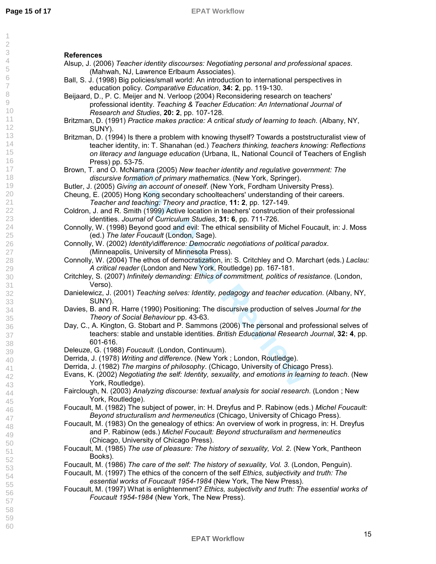## **References**

- Alsup, J. (2006) *Teacher identity discourses: Negotiating personal and professional spaces* . (Mahwah, NJ, Lawrence Erlbaum Associates).
- Ball, S. J. (1998) Big policies/small world: An introduction to international perspectives in education policy. *Comparative Education* , **34: 2** , pp. 119-130.
- Beijaard, D., P. C. Meijer and N. Verloop (2004) Reconsidering research on teachers'<br>professional identity. *Teaching & Teacher Education: An International Journal of Research and Studies* , **20: 2** , pp. 107-128.
- Britzman, D. (1991) *Practice makes practice: A critical study of learning to teach* . (Albany, NY, SUNY).
- Britzman, D. (1994) Is there a problem with knowing thyself? Towards a poststructuralist view of teacher identity, in: T. Shanahan (ed.) *Teachers thinking, teachers knowing: Reflections on literacy and language education* (Urbana, IL, National Council of Teachers of English Press) pp. 53-75.
- Brown, T. and O. McNamara (2005) *New teacher identity and regulative government: The discursive formation of primary mathematics* . (New York, Springer).
- Butler, J. (2005) *Giving an account of oneself*. (New York, Fordham University Press).
- Cheung, E. (2005) Hong Kong secondary schoolteachers' understanding of their careers. *Teacher and teaching: Theory and practice* , **11: 2** , pp. 127-149.
- Coldron, J. and R. Smith (1999) Active location in teachers' construction of their professional identities. *Journal of Curriculum Studies* , **31: 6** , pp. 711-726.
- Connolly, W. (1998) Beyond good and evil: The ethical sensibility of Michel Foucault, in: J. Moss (ed.) *The later Foucault* (London, Sage).
- Connolly, W. (2002) *Identity\difference: Democratic negotiations of political paradox* . (Minneapolis, University of Minnesota Press).
- Connolly, W. (2004) The ethos of democratization, in: S. Critchley and O. Marchart (eds.) *Laclau: A critical reader* (London and New York, Routledge) pp. 167-181.
- Critchley, S. (2007) *Infinitely demanding: Ethics of commitment, politics of resistance* . (London, Verso).
- Danielewicz, J. (2001) *Teaching selves: Identity, pedagogy and teacher education* . (Albany, NY, SUNY).
- Davies, B. and R. Harre (1990) Positioning: The discursive production of selves *Journal for the Theory of Social Behaviour* pp. 43-63.
- Namara (2005) New teacher identity and regulative gove<br> *Franction of primary mathemattics*. (New York, Springer).<br> *For a a account of oneself.* (New York, Fordham University<br>
ong Kong secondary schoolteachers' understand Day, C., A. Kington, G. Stobart and P. Sammons (2006) The personal and professional selves of teachers: stable and unstable identities. *British Educational Research Journal* , **32: 4** , pp. 601-616.
- Deleuze, G. (1988) *Foucault* . (London, Continuum).
- Derrida, J. (1978) *Writing and difference* . (New York ; London, Routledge).
- Derrida, J. (1982) *The margins of philosophy* . (Chicago, University of Chicago Press).
- Evans, K. (2002) *Negotiating the self: Identity, sexuality, and emotions in learning to teach* . (New York, Routledge).
- Fairclough, N. (2003) *Analyzing discourse: textual analysis for social research* . (London ; New York, Routledge).
- Foucault, M. (1982) The subject of power, in: H. Dreyfus and P. Rabinow (eds.) *Michel Foucault: Beyond structuralism and hermeneutics* (Chicago, University of Chicago Press).
- Foucault, M. (1983) On the genealogy of ethics: An overview of work in progress, in: H. Dreyfus and P. Rabinow (eds.) *Michel Foucault: Beyond structuralism and hermeneutics* (Chicago, University of Chicago Press).
- Foucault, M. (1985) *The use of pleasure: The history of sexuality, Vol. 2* . (New York, Pantheon Books).
- Foucault, M. (1986) *The care of the self: The history of sexuality, Vol. 3* . (London, Penguin).
- Foucault, M. (1997) The ethics of the concern of the self *Ethics, subjectivity and truth: The essential works of Foucault 1954-1984* (New York, The New Press).
- Foucault, M. (1997) What is enlightenment? *Ethics, subjectivity and truth: The essential works of Foucault 1954-1984* (New York, The New Press).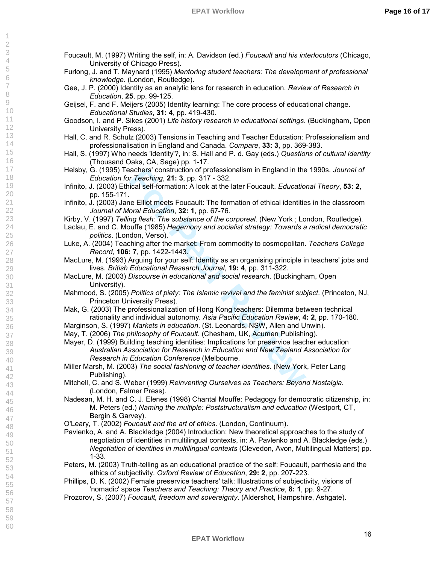- 1 123456789  $\overline{2}$ 3 4 5 6  $\overline{7}$ 8 9 10 11 12 13 14 15 16 17 18 19 20 21 22 23 24 25 26 27 28 29 30 31 32 33 34 35 36 37 38 39 40 41 42 43 44 45 46 47 48 49 50 51 52 53 54 55 56 57 58 59 60
- Foucault, M. (1997) Writing the self, in: A. Davidson (ed.) *Foucault and his interlocutors* (Chicago, University of Chicago Press).
- Furlong, J. and T. Maynard (1995) *Mentoring student teachers: The development of professional knowledge* . (London, Routledge).
- Gee, J. P. (2000) Identity as an analytic lens for research in education. *Review of Research in Education* , **25** , pp. 99-125.
- Geijsel, F. and F. Meijers (2005) Identity learning: The core process of educational change. *Educational Studies* , **31: 4** , pp. 419-430.
- Goodson, I. and P. Sikes (2001) *Life history research in educational settings* . (Buckingham, Open University Press).
- Hall, C. and R. Schulz (2003) Tensions in Teaching and Teacher Education: Professionalism and professionalisation in England and Canada. *Compare* , **33: 3** , pp. 369-383.
- Hall, S. (1997) Who needs 'identity'?, in: S. Hall and P. d. Gay (eds.) *Questions of cultural identity* (Thousand Oaks, CA, Sage) pp. 1-17.
- Helsby, G. (1995) Teachers' construction of professionalism in England in the 1990s. *Journal of Education for Teaching* , **21: 3** , pp. 317 - 332.
- Infinito, J. (2003) Ethical self-formation: A look at the later Foucault. *Educational Theory* , **53: 2** , pp. 155-171.
- Infinito, J. (2003) Jane Elliot meets Foucault: The formation of ethical identities in the classroom *Journal of Moral Education* , **32: 1** , pp. 67-76.
- Kirby, V. (1997) *Telling flesh: The substance of the corporeal* . (New York ; London, Routledge).
- Laclau, E. and C. Mouffe (1985) *Hegemony and socialist strategy: Towards a radical democratic politics* . (London, Verso).
- Luke, A. (2004) Teaching after the market: From commodity to cosmopolitan. *Teachers College Record* , **106: 7** , pp. 1422-1443.
- MacLure, M. (1993) Arguing for your self: Identity as an organising principle in teachers' jobs and lives. *British Educational Research Journal* , **19: 4** , pp. 311-322.
- MacLure, M. (2003) *Discourse in educational and social research* . (Buckingham, Open University).
- Mahmood, S. (2005) *Politics of piety: The Islamic revival and the feminist subject* . (Princeton, NJ, Princeton University Press).
- Mak, G. (2003) The professionalization of Hong Kong teachers: Dilemma between technical rationality and individual autonomy. *Asia Pacific Education Review* , **4: 2** , pp. 170-180.
- Marginson, S. (1997) Markets in education. (St. Leonards, NSW, Allen and Unwin).
- May, T. (2006) *The philosophy of Foucault* . (Chesham, UK, Acumen Publishing).
- rachers' construction of professionalism in England in the<br> *r* Teaching, 21: 3, pp. 317 332.<br>
Ical self-formation: A look at the later Foucault. *Educatiol*<br>
i.e Elliot meets Foucault: The formation of ethical identitie Mayer, D. (1999) Building teaching identities: Implications for preservice teacher education *Australian Association for Research in Education and New Zealand Association for Research in Education Conference* (Melbourne.
- Miller Marsh, M. (2003) *The social fashioning of teacher identities* . (New York, Peter Lang Publishing).
- Mitchell, C. and S. Weber (1999) *Reinventing Ourselves as Teachers: Beyond Nostalgia* . (London, Falmer Press).
- Nadesan, M. H. and C. J. Elenes (1998) Chantal Mouffe: Pedagogy for democratic citizenship, in: M. Peters (ed.) *Naming the multiple: Poststructuralism and education* (Westport, CT, Bergin & Garvey).
- O'Leary, T. (2002) *Foucault and the art of ethics* . (London, Continuum).
- Pavlenko, A. and A. Blackledge (2004) Introduction: New theoretical approaches to the study of negotiation of identities in multilingual contexts, in: A. Pavlenko and A. Blackledge (eds.) *Negotiation of identities in multilingual contexts* (Clevedon, Avon, Multilingual Matters) pp. 1-33.
- Peters, M. (2003) Truth-telling as an educational practice of the self: Foucault, parrhesia and the ethics of subjectivity. *Oxford Review of Education* , **29: 2** , pp. 207-223.
- Phillips, D. K. (2002) Female preservice teachers' talk: Illustrations of subjectivity, visions of 'nomadic' space *Teachers and Teaching: Theory and Practice* , **8: 1** , pp. 9-27.
- Prozorov, S. (2007) *Foucault, freedom and sovereignty* . (Aldershot, Hampshire, Ashgate).